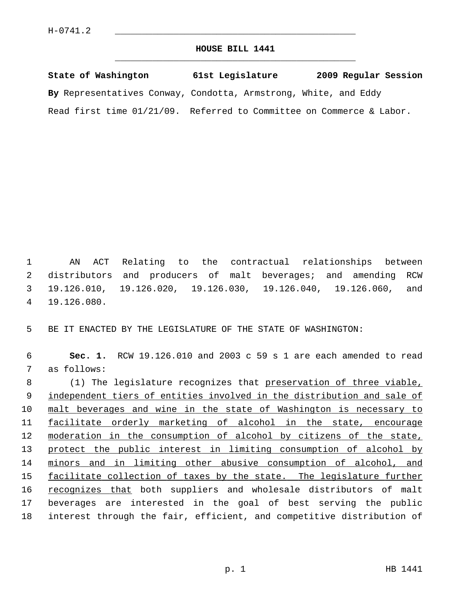## **HOUSE BILL 1441** \_\_\_\_\_\_\_\_\_\_\_\_\_\_\_\_\_\_\_\_\_\_\_\_\_\_\_\_\_\_\_\_\_\_\_\_\_\_\_\_\_\_\_\_\_

| State of Washington                                                  | 61st Legislature | 2009 Regular Session |
|----------------------------------------------------------------------|------------------|----------------------|
| By Representatives Conway, Condotta, Armstrong, White, and Eddy      |                  |                      |
| Read first time 01/21/09. Referred to Committee on Commerce & Labor. |                  |                      |

 1 AN ACT Relating to the contractual relationships between 2 distributors and producers of malt beverages; and amending RCW 3 19.126.010, 19.126.020, 19.126.030, 19.126.040, 19.126.060, and 4 19.126.080.

5 BE IT ENACTED BY THE LEGISLATURE OF THE STATE OF WASHINGTON:

 6 **Sec. 1.** RCW 19.126.010 and 2003 c 59 s 1 are each amended to read 7 as follows:

 8 (1) The legislature recognizes that preservation of three viable, 9 independent tiers of entities involved in the distribution and sale of 10 malt beverages and wine in the state of Washington is necessary to 11 facilitate orderly marketing of alcohol in the state, encourage 12 moderation in the consumption of alcohol by citizens of the state, 13 protect the public interest in limiting consumption of alcohol by 14 minors and in limiting other abusive consumption of alcohol, and 15 facilitate collection of taxes by the state. The legislature further 16 recognizes that both suppliers and wholesale distributors of malt 17 beverages are interested in the goal of best serving the public 18 interest through the fair, efficient, and competitive distribution of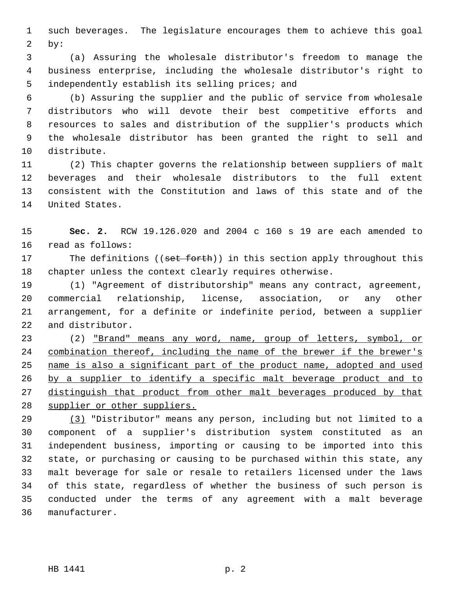1 such beverages. The legislature encourages them to achieve this goal  $2$  by:

 3 (a) Assuring the wholesale distributor's freedom to manage the 4 business enterprise, including the wholesale distributor's right to 5 independently establish its selling prices; and

 6 (b) Assuring the supplier and the public of service from wholesale 7 distributors who will devote their best competitive efforts and 8 resources to sales and distribution of the supplier's products which 9 the wholesale distributor has been granted the right to sell and 10 distribute.

11 (2) This chapter governs the relationship between suppliers of malt 12 beverages and their wholesale distributors to the full extent 13 consistent with the Constitution and laws of this state and of the 14 United States.

15 **Sec. 2.** RCW 19.126.020 and 2004 c 160 s 19 are each amended to 16 read as follows:

17 The definitions ((set forth)) in this section apply throughout this 18 chapter unless the context clearly requires otherwise.

19 (1) "Agreement of distributorship" means any contract, agreement, 20 commercial relationship, license, association, or any other 21 arrangement, for a definite or indefinite period, between a supplier 22 and distributor.

23 (2) "Brand" means any word, name, group of letters, symbol, or combination thereof, including the name of the brewer if the brewer's name is also a significant part of the product name, adopted and used by a supplier to identify a specific malt beverage product and to 27 distinguish that product from other malt beverages produced by that supplier or other suppliers.

29 (3) "Distributor" means any person, including but not limited to a 30 component of a supplier's distribution system constituted as an 31 independent business, importing or causing to be imported into this 32 state, or purchasing or causing to be purchased within this state, any 33 malt beverage for sale or resale to retailers licensed under the laws 34 of this state, regardless of whether the business of such person is 35 conducted under the terms of any agreement with a malt beverage 36 manufacturer.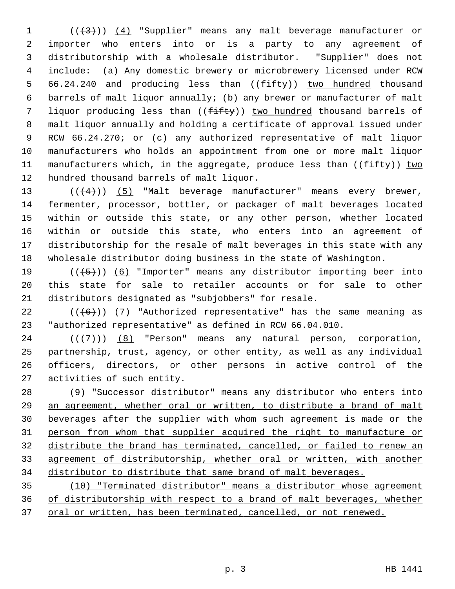$1$  ( $(\frac{4}{3})$ ) (4) "Supplier" means any malt beverage manufacturer or 2 importer who enters into or is a party to any agreement of 3 distributorship with a wholesale distributor. "Supplier" does not 4 include: (a) Any domestic brewery or microbrewery licensed under RCW 5  $66.24.240$  and producing less than  $((f + f + g))$  two hundred thousand 6 barrels of malt liquor annually; (b) any brewer or manufacturer of malt 7 liquor producing less than ((fifty)) two hundred thousand barrels of 8 malt liquor annually and holding a certificate of approval issued under 9 RCW 66.24.270; or (c) any authorized representative of malt liquor 10 manufacturers who holds an appointment from one or more malt liquor 11 manufacturers which, in the aggregate, produce less than ((fifty)) two 12 hundred thousand barrels of malt liquor.

13  $((4+))$  (5) "Malt beverage manufacturer" means every brewer, 14 fermenter, processor, bottler, or packager of malt beverages located 15 within or outside this state, or any other person, whether located 16 within or outside this state, who enters into an agreement of 17 distributorship for the resale of malt beverages in this state with any 18 wholesale distributor doing business in the state of Washington.

19  $((+5))$  (6) "Importer" means any distributor importing beer into 20 this state for sale to retailer accounts or for sale to other 21 distributors designated as "subjobbers" for resale.

22  $((\langle 6 \rangle) )$  (7) "Authorized representative" has the same meaning as 23 "authorized representative" as defined in RCW 66.04.010.

24  $((\langle 7 \rangle)(8)$  "Person" means any natural person, corporation, 25 partnership, trust, agency, or other entity, as well as any individual 26 officers, directors, or other persons in active control of the 27 activities of such entity.

 (9) "Successor distributor" means any distributor who enters into an agreement, whether oral or written, to distribute a brand of malt beverages after the supplier with whom such agreement is made or the person from whom that supplier acquired the right to manufacture or distribute the brand has terminated, cancelled, or failed to renew an agreement of distributorship, whether oral or written, with another 34 distributor to distribute that same brand of malt beverages.

35 (10) "Terminated distributor" means a distributor whose agreement 36 of distributorship with respect to a brand of malt beverages, whether 37 oral or written, has been terminated, cancelled, or not renewed.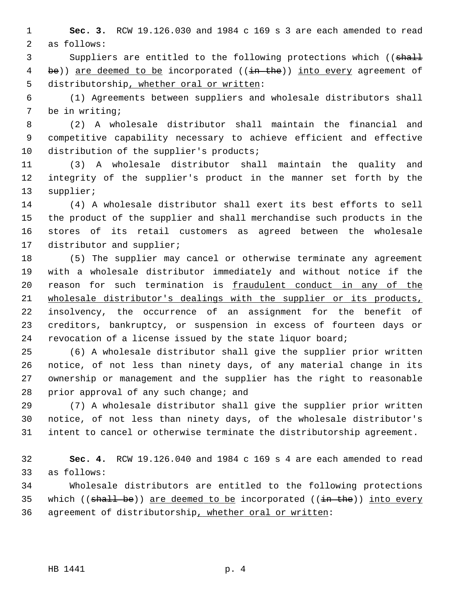1 **Sec. 3.** RCW 19.126.030 and 1984 c 169 s 3 are each amended to read 2 as follows:

3 Suppliers are entitled to the following protections which ((shall 4 be)) are deemed to be incorporated ((in the)) into every agreement of 5 distributorship, whether oral or written:

 6 (1) Agreements between suppliers and wholesale distributors shall 7 be in writing;

 8 (2) A wholesale distributor shall maintain the financial and 9 competitive capability necessary to achieve efficient and effective 10 distribution of the supplier's products;

11 (3) A wholesale distributor shall maintain the quality and 12 integrity of the supplier's product in the manner set forth by the 13 supplier;

14 (4) A wholesale distributor shall exert its best efforts to sell 15 the product of the supplier and shall merchandise such products in the 16 stores of its retail customers as agreed between the wholesale 17 distributor and supplier;

18 (5) The supplier may cancel or otherwise terminate any agreement 19 with a wholesale distributor immediately and without notice if the 20 reason for such termination is fraudulent conduct in any of the 21 wholesale distributor's dealings with the supplier or its products, 22 insolvency, the occurrence of an assignment for the benefit of 23 creditors, bankruptcy, or suspension in excess of fourteen days or 24 revocation of a license issued by the state liquor board;

25 (6) A wholesale distributor shall give the supplier prior written 26 notice, of not less than ninety days, of any material change in its 27 ownership or management and the supplier has the right to reasonable 28 prior approval of any such change; and

29 (7) A wholesale distributor shall give the supplier prior written 30 notice, of not less than ninety days, of the wholesale distributor's 31 intent to cancel or otherwise terminate the distributorship agreement.

32 **Sec. 4.** RCW 19.126.040 and 1984 c 169 s 4 are each amended to read 33 as follows:

34 Wholesale distributors are entitled to the following protections 35 which  $((\text{shell} \text{ be}))$  are deemed to be incorporated  $((\text{in the}))$  into every 36 agreement of distributorship, whether oral or written: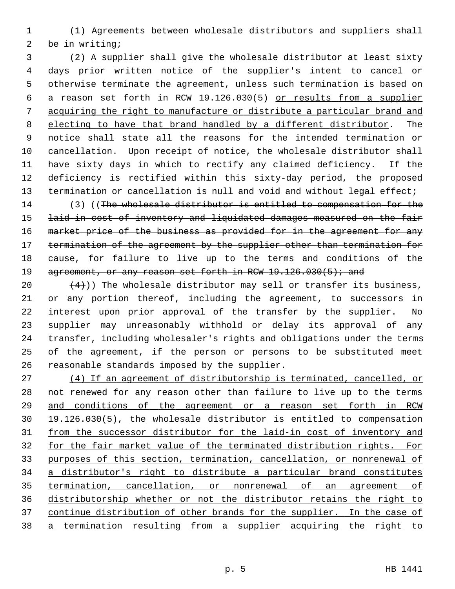1 (1) Agreements between wholesale distributors and suppliers shall 2 be in writing;

 3 (2) A supplier shall give the wholesale distributor at least sixty 4 days prior written notice of the supplier's intent to cancel or 5 otherwise terminate the agreement, unless such termination is based on 6 a reason set forth in RCW 19.126.030(5) or results from a supplier 7 acquiring the right to manufacture or distribute a particular brand and 8 electing to have that brand handled by a different distributor. The 9 notice shall state all the reasons for the intended termination or 10 cancellation. Upon receipt of notice, the wholesale distributor shall 11 have sixty days in which to rectify any claimed deficiency. If the 12 deficiency is rectified within this sixty-day period, the proposed 13 termination or cancellation is null and void and without legal effect;

14 (3) ((The wholesale distributor is entitled to compensation for the 15 laid-in cost of inventory and liquidated damages measured on the fair 16 market price of the business as provided for in the agreement for any 17 termination of the agreement by the supplier other than termination for 18 cause, for failure to live up to the terms and conditions of the 19 agreement, or any reason set forth in RCW 19.126.030(5); and

20  $(4)$ )) The wholesale distributor may sell or transfer its business, 21 or any portion thereof, including the agreement, to successors in 22 interest upon prior approval of the transfer by the supplier. No 23 supplier may unreasonably withhold or delay its approval of any 24 transfer, including wholesaler's rights and obligations under the terms 25 of the agreement, if the person or persons to be substituted meet 26 reasonable standards imposed by the supplier.

 (4) If an agreement of distributorship is terminated, cancelled, or 28 not renewed for any reason other than failure to live up to the terms and conditions of the agreement or a reason set forth in RCW 19.126.030(5), the wholesale distributor is entitled to compensation from the successor distributor for the laid-in cost of inventory and for the fair market value of the terminated distribution rights. For purposes of this section, termination, cancellation, or nonrenewal of a distributor's right to distribute a particular brand constitutes termination, cancellation, or nonrenewal of an agreement of distributorship whether or not the distributor retains the right to 37 continue distribution of other brands for the supplier. In the case of a termination resulting from a supplier acquiring the right to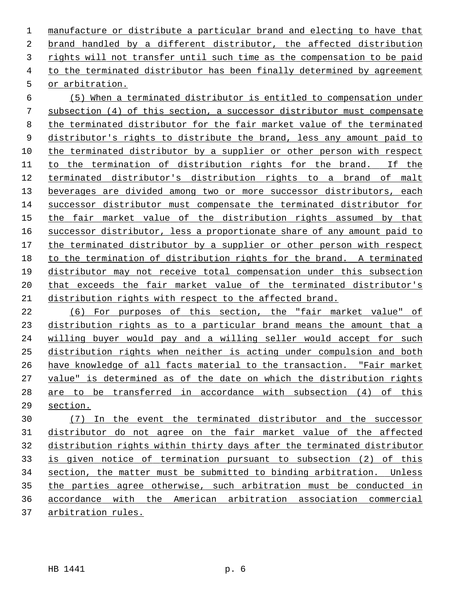manufacture or distribute a particular brand and electing to have that brand handled by a different distributor, the affected distribution rights will not transfer until such time as the compensation to be paid to the terminated distributor has been finally determined by agreement or arbitration.

 (5) When a terminated distributor is entitled to compensation under subsection (4) of this section, a successor distributor must compensate the terminated distributor for the fair market value of the terminated distributor's rights to distribute the brand, less any amount paid to the terminated distributor by a supplier or other person with respect to the termination of distribution rights for the brand. If the terminated distributor's distribution rights to a brand of malt beverages are divided among two or more successor distributors, each successor distributor must compensate the terminated distributor for 15 the fair market value of the distribution rights assumed by that successor distributor, less a proportionate share of any amount paid to the terminated distributor by a supplier or other person with respect to the termination of distribution rights for the brand. A terminated distributor may not receive total compensation under this subsection that exceeds the fair market value of the terminated distributor's distribution rights with respect to the affected brand.

 (6) For purposes of this section, the "fair market value" of distribution rights as to a particular brand means the amount that a willing buyer would pay and a willing seller would accept for such distribution rights when neither is acting under compulsion and both have knowledge of all facts material to the transaction. "Fair market value" is determined as of the date on which the distribution rights are to be transferred in accordance with subsection (4) of this section.

 (7) In the event the terminated distributor and the successor distributor do not agree on the fair market value of the affected distribution rights within thirty days after the terminated distributor is given notice of termination pursuant to subsection (2) of this section, the matter must be submitted to binding arbitration. Unless the parties agree otherwise, such arbitration must be conducted in accordance with the American arbitration association commercial arbitration rules.